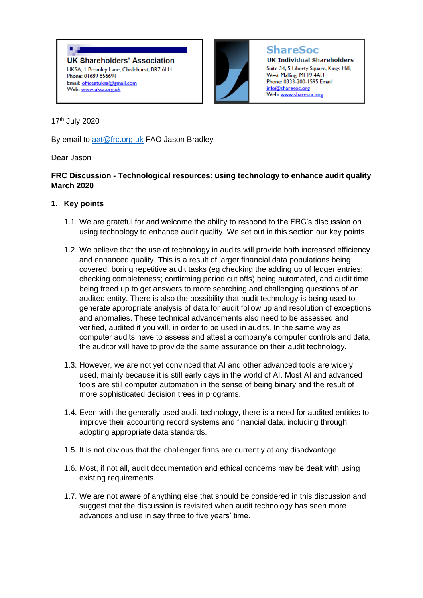۰, **UK Shareholders' Association** UKSA, I Bromley Lane, Chislehurst, BR7 6LH Phone: 01689 856691 Email: officeatuksa@gmail.com Web: www.uksa.org.uk



**ShareSoc** 

**UK Individual Shareholders** Suite 34, 5 Liberty Square, Kings Hill, West Malling, ME19 4AU Phone: 0333-200-1595 Email: info@sharesoc.org Web: <u>www.sharesoc.org</u>

17th July 2020

By email to [aat@frc.org.uk](mailto:aat@frc.org.uk) FAO Jason Bradley

# Dear Jason

## **FRC Discussion - Technological resources: using technology to enhance audit quality March 2020**

# **1. Key points**

- 1.1. We are grateful for and welcome the ability to respond to the FRC's discussion on using technology to enhance audit quality. We set out in this section our key points.
- 1.2. We believe that the use of technology in audits will provide both increased efficiency and enhanced quality. This is a result of larger financial data populations being covered, boring repetitive audit tasks (eg checking the adding up of ledger entries; checking completeness; confirming period cut offs) being automated, and audit time being freed up to get answers to more searching and challenging questions of an audited entity. There is also the possibility that audit technology is being used to generate appropriate analysis of data for audit follow up and resolution of exceptions and anomalies. These technical advancements also need to be assessed and verified, audited if you will, in order to be used in audits. In the same way as computer audits have to assess and attest a company's computer controls and data, the auditor will have to provide the same assurance on their audit technology.
- 1.3. However, we are not yet convinced that AI and other advanced tools are widely used, mainly because it is still early days in the world of AI. Most AI and advanced tools are still computer automation in the sense of being binary and the result of more sophisticated decision trees in programs.
- 1.4. Even with the generally used audit technology, there is a need for audited entities to improve their accounting record systems and financial data, including through adopting appropriate data standards.
- 1.5. It is not obvious that the challenger firms are currently at any disadvantage.
- 1.6. Most, if not all, audit documentation and ethical concerns may be dealt with using existing requirements.
- 1.7. We are not aware of anything else that should be considered in this discussion and suggest that the discussion is revisited when audit technology has seen more advances and use in say three to five years' time.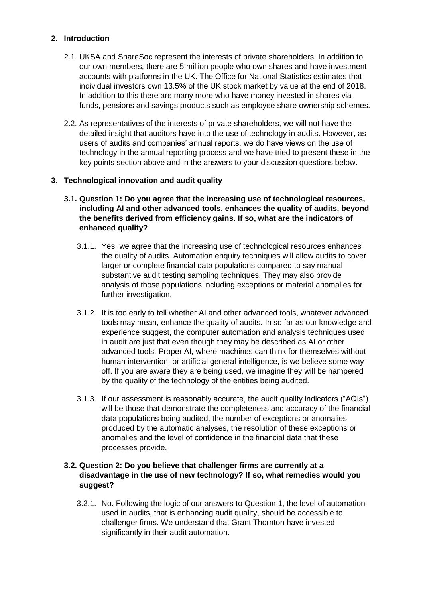## **2. Introduction**

- 2.1. UKSA and ShareSoc represent the interests of private shareholders. In addition to our own members, there are 5 million people who own shares and have investment accounts with platforms in the UK. The Office for National Statistics estimates that individual investors own 13.5% of the UK stock market by value at the end of 2018. In addition to this there are many more who have money invested in shares via funds, pensions and savings products such as employee share ownership schemes.
- 2.2. As representatives of the interests of private shareholders, we will not have the detailed insight that auditors have into the use of technology in audits. However, as users of audits and companies' annual reports, we do have views on the use of technology in the annual reporting process and we have tried to present these in the key points section above and in the answers to your discussion questions below.

### **3. Technological innovation and audit quality**

- **3.1. Question 1: Do you agree that the increasing use of technological resources, including AI and other advanced tools, enhances the quality of audits, beyond the benefits derived from efficiency gains. If so, what are the indicators of enhanced quality?**
	- 3.1.1. Yes, we agree that the increasing use of technological resources enhances the quality of audits. Automation enquiry techniques will allow audits to cover larger or complete financial data populations compared to say manual substantive audit testing sampling techniques. They may also provide analysis of those populations including exceptions or material anomalies for further investigation.
	- 3.1.2. It is too early to tell whether AI and other advanced tools, whatever advanced tools may mean, enhance the quality of audits. In so far as our knowledge and experience suggest, the computer automation and analysis techniques used in audit are just that even though they may be described as AI or other advanced tools. Proper AI, where machines can think for themselves without human intervention, or artificial general intelligence, is we believe some way off. If you are aware they are being used, we imagine they will be hampered by the quality of the technology of the entities being audited.
	- 3.1.3. If our assessment is reasonably accurate, the audit quality indicators ("AQIs") will be those that demonstrate the completeness and accuracy of the financial data populations being audited, the number of exceptions or anomalies produced by the automatic analyses, the resolution of these exceptions or anomalies and the level of confidence in the financial data that these processes provide.

### **3.2. Question 2: Do you believe that challenger firms are currently at a disadvantage in the use of new technology? If so, what remedies would you suggest?**

3.2.1. No. Following the logic of our answers to Question 1, the level of automation used in audits, that is enhancing audit quality, should be accessible to challenger firms. We understand that Grant Thornton have invested significantly in their audit automation.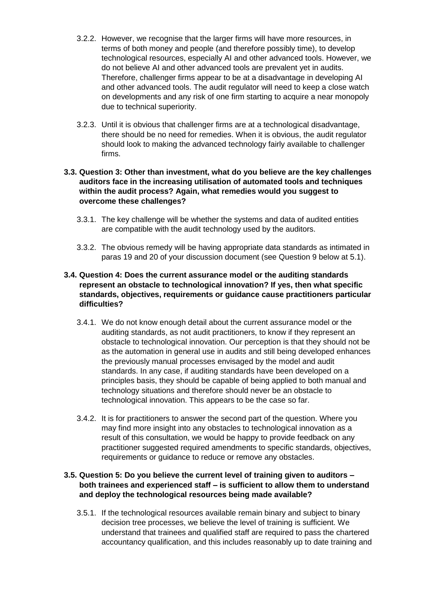- 3.2.2. However, we recognise that the larger firms will have more resources, in terms of both money and people (and therefore possibly time), to develop technological resources, especially AI and other advanced tools. However, we do not believe AI and other advanced tools are prevalent yet in audits. Therefore, challenger firms appear to be at a disadvantage in developing AI and other advanced tools. The audit regulator will need to keep a close watch on developments and any risk of one firm starting to acquire a near monopoly due to technical superiority.
- 3.2.3. Until it is obvious that challenger firms are at a technological disadvantage, there should be no need for remedies. When it is obvious, the audit regulator should look to making the advanced technology fairly available to challenger firms.

### **3.3. Question 3: Other than investment, what do you believe are the key challenges auditors face in the increasing utilisation of automated tools and techniques within the audit process? Again, what remedies would you suggest to overcome these challenges?**

- 3.3.1. The key challenge will be whether the systems and data of audited entities are compatible with the audit technology used by the auditors.
- 3.3.2. The obvious remedy will be having appropriate data standards as intimated in paras 19 and 20 of your discussion document (see Question 9 below at 5.1).

### **3.4. Question 4: Does the current assurance model or the auditing standards represent an obstacle to technological innovation? If yes, then what specific standards, objectives, requirements or guidance cause practitioners particular difficulties?**

- 3.4.1. We do not know enough detail about the current assurance model or the auditing standards, as not audit practitioners, to know if they represent an obstacle to technological innovation. Our perception is that they should not be as the automation in general use in audits and still being developed enhances the previously manual processes envisaged by the model and audit standards. In any case, if auditing standards have been developed on a principles basis, they should be capable of being applied to both manual and technology situations and therefore should never be an obstacle to technological innovation. This appears to be the case so far.
- 3.4.2. It is for practitioners to answer the second part of the question. Where you may find more insight into any obstacles to technological innovation as a result of this consultation, we would be happy to provide feedback on any practitioner suggested required amendments to specific standards, objectives, requirements or guidance to reduce or remove any obstacles.

### **3.5. Question 5: Do you believe the current level of training given to auditors – both trainees and experienced staff – is sufficient to allow them to understand and deploy the technological resources being made available?**

3.5.1. If the technological resources available remain binary and subject to binary decision tree processes, we believe the level of training is sufficient. We understand that trainees and qualified staff are required to pass the chartered accountancy qualification, and this includes reasonably up to date training and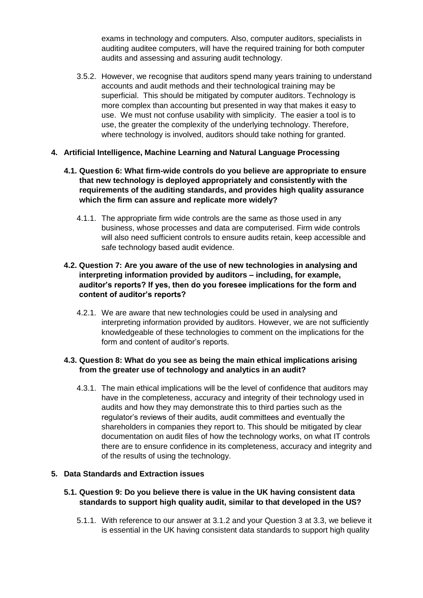exams in technology and computers. Also, computer auditors, specialists in auditing auditee computers, will have the required training for both computer audits and assessing and assuring audit technology.

3.5.2. However, we recognise that auditors spend many years training to understand accounts and audit methods and their technological training may be superficial. This should be mitigated by computer auditors. Technology is more complex than accounting but presented in way that makes it easy to use. We must not confuse usability with simplicity. The easier a tool is to use, the greater the complexity of the underlying technology. Therefore, where technology is involved, auditors should take nothing for granted.

### **4. Artificial Intelligence, Machine Learning and Natural Language Processing**

- **4.1. Question 6: What firm-wide controls do you believe are appropriate to ensure that new technology is deployed appropriately and consistently with the requirements of the auditing standards, and provides high quality assurance which the firm can assure and replicate more widely?**
	- 4.1.1. The appropriate firm wide controls are the same as those used in any business, whose processes and data are computerised. Firm wide controls will also need sufficient controls to ensure audits retain, keep accessible and safe technology based audit evidence.

### **4.2. Question 7: Are you aware of the use of new technologies in analysing and interpreting information provided by auditors – including, for example, auditor's reports? If yes, then do you foresee implications for the form and content of auditor's reports?**

4.2.1. We are aware that new technologies could be used in analysing and interpreting information provided by auditors. However, we are not sufficiently knowledgeable of these technologies to comment on the implications for the form and content of auditor's reports.

### **4.3. Question 8: What do you see as being the main ethical implications arising from the greater use of technology and analytics in an audit?**

4.3.1. The main ethical implications will be the level of confidence that auditors may have in the completeness, accuracy and integrity of their technology used in audits and how they may demonstrate this to third parties such as the regulator's reviews of their audits, audit committees and eventually the shareholders in companies they report to. This should be mitigated by clear documentation on audit files of how the technology works, on what IT controls there are to ensure confidence in its completeness, accuracy and integrity and of the results of using the technology.

#### **5. Data Standards and Extraction issues**

### **5.1. Question 9: Do you believe there is value in the UK having consistent data standards to support high quality audit, similar to that developed in the US?**

5.1.1. With reference to our answer at 3.1.2 and your Question 3 at 3.3, we believe it is essential in the UK having consistent data standards to support high quality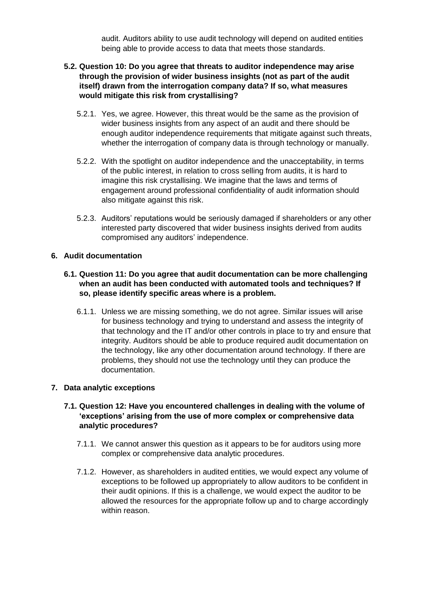audit. Auditors ability to use audit technology will depend on audited entities being able to provide access to data that meets those standards.

## **5.2. Question 10: Do you agree that threats to auditor independence may arise through the provision of wider business insights (not as part of the audit itself) drawn from the interrogation company data? If so, what measures would mitigate this risk from crystallising?**

- 5.2.1. Yes, we agree. However, this threat would be the same as the provision of wider business insights from any aspect of an audit and there should be enough auditor independence requirements that mitigate against such threats, whether the interrogation of company data is through technology or manually.
- 5.2.2. With the spotlight on auditor independence and the unacceptability, in terms of the public interest, in relation to cross selling from audits, it is hard to imagine this risk crystallising. We imagine that the laws and terms of engagement around professional confidentiality of audit information should also mitigate against this risk.
- 5.2.3. Auditors' reputations would be seriously damaged if shareholders or any other interested party discovered that wider business insights derived from audits compromised any auditors' independence.

## **6. Audit documentation**

### **6.1. Question 11: Do you agree that audit documentation can be more challenging when an audit has been conducted with automated tools and techniques? If so, please identify specific areas where is a problem.**

6.1.1. Unless we are missing something, we do not agree. Similar issues will arise for business technology and trying to understand and assess the integrity of that technology and the IT and/or other controls in place to try and ensure that integrity. Auditors should be able to produce required audit documentation on the technology, like any other documentation around technology. If there are problems, they should not use the technology until they can produce the documentation.

#### **7. Data analytic exceptions**

### **7.1. Question 12: Have you encountered challenges in dealing with the volume of 'exceptions' arising from the use of more complex or comprehensive data analytic procedures?**

- 7.1.1. We cannot answer this question as it appears to be for auditors using more complex or comprehensive data analytic procedures.
- 7.1.2. However, as shareholders in audited entities, we would expect any volume of exceptions to be followed up appropriately to allow auditors to be confident in their audit opinions. If this is a challenge, we would expect the auditor to be allowed the resources for the appropriate follow up and to charge accordingly within reason.